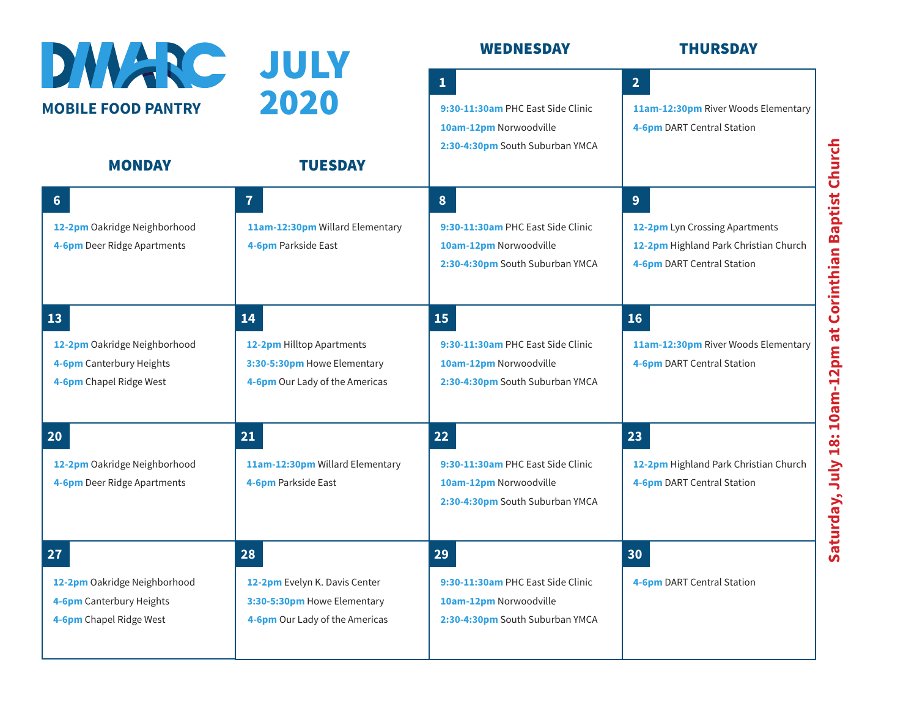| DIVARC                                                                                    | JULY                                                                                                 | <b>WEDNESDAY</b>                                                                                               | <b>THURSDAY</b>                                                                                            |
|-------------------------------------------------------------------------------------------|------------------------------------------------------------------------------------------------------|----------------------------------------------------------------------------------------------------------------|------------------------------------------------------------------------------------------------------------|
| <b>MOBILE FOOD PANTRY</b><br><b>MONDAY</b>                                                | 2020<br><b>TUESDAY</b>                                                                               | $\mathbf{1}$<br>9:30-11:30am PHC East Side Clinic<br>10am-12pm Norwoodville<br>2:30-4:30pm South Suburban YMCA | 2 <sup>1</sup><br>11am-12:30pm River Woods Elementary<br>4-6pm DART Central Station                        |
| 6<br>12-2pm Oakridge Neighborhood<br>4-6pm Deer Ridge Apartments                          | $\overline{7}$<br>11am-12:30pm Willard Elementary<br>4-6pm Parkside East                             | 8<br>9:30-11:30am PHC East Side Clinic<br>10am-12pm Norwoodville<br>2:30-4:30pm South Suburban YMCA            | 9<br>12-2pm Lyn Crossing Apartments<br>12-2pm Highland Park Christian Church<br>4-6pm DART Central Station |
| 13<br>12-2pm Oakridge Neighborhood<br>4-6pm Canterbury Heights<br>4-6pm Chapel Ridge West | 14<br>12-2pm Hilltop Apartments<br>3:30-5:30pm Howe Elementary<br>4-6pm Our Lady of the Americas     | 15<br>9:30-11:30am PHC East Side Clinic<br>10am-12pm Norwoodville<br>2:30-4:30pm South Suburban YMCA           | 16<br>11am-12:30pm River Woods Elementary<br>4-6pm DART Central Station                                    |
| <b>20</b><br>12-2pm Oakridge Neighborhood<br>4-6pm Deer Ridge Apartments                  | 21<br>11am-12:30pm Willard Elementary<br>4-6pm Parkside East                                         | 22<br>9:30-11:30am PHC East Side Clinic<br>10am-12pm Norwoodville<br>2:30-4:30pm South Suburban YMCA           | 23<br>12-2pm Highland Park Christian Church<br>4-6pm DART Central Station                                  |
| 27<br>12-2pm Oakridge Neighborhood<br>4-6pm Canterbury Heights<br>4-6pm Chapel Ridge West | 28<br>12-2pm Evelyn K. Davis Center<br>3:30-5:30pm Howe Elementary<br>4-6pm Our Lady of the Americas | 29<br>9:30-11:30am PHC East Side Clinic<br>10am-12pm Norwoodville<br>2:30-4:30pm South Suburban YMCA           | 30<br>4-6pm DART Central Station                                                                           |